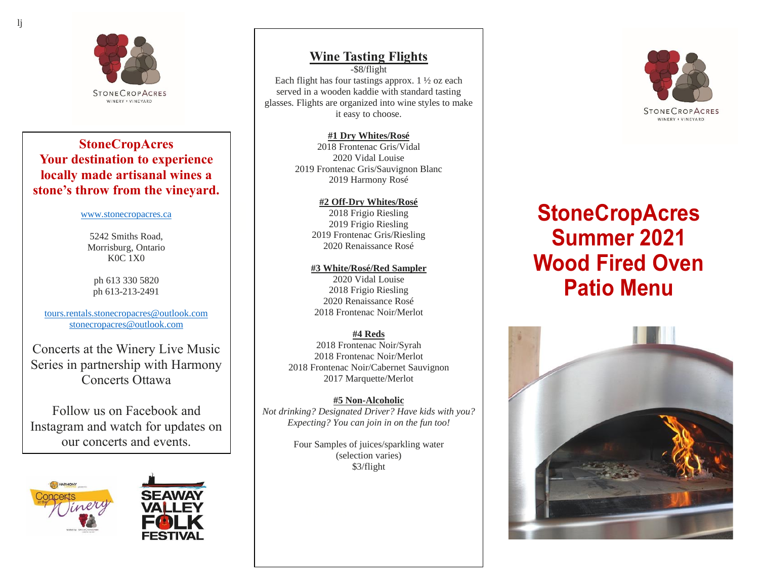

#### **StoneCropAcres Your destination to experience locally made artisanal wines a stone's throw from the vineyard.**

#### [www.stonecropacres.ca](http://www.stonecropacres.ca/)

5242 Smiths Road, Morrisburg, Ontario K0C 1X0

ph 613 330 5820 ph 613-213-2491

[tours.rentals.stonecropacres@outlook.com](mailto:tours.rentals.stonecropacres@outlook.com) [stonecropacres@outlook.com](mailto:stonecropacres@outlook.com)

Concerts at the Winery Live Music Series in partnership with Harmony Concerts Ottawa

Follow us on Facebook and Instagram and watch for updates on our concerts and events.





## **Wine Tasting Flights**

-\$8/flight Each flight has four tastings approx.  $1\frac{1}{2}$  oz each served in a wooden kaddie with standard tasting glasses. Flights are organized into wine styles to make it easy to choose.

> **#1 Dry Whites/Rosé** 2018 Frontenac Gris/Vidal 2020 Vidal Louise 2019 Frontenac Gris/Sauvignon Blanc 2019 Harmony Rosé

#### **#2 Off-Dry Whites/Rosé** 2018 Frigio Riesling 2019 Frigio Riesling 2019 Frontenac Gris/Riesling

2020 Renaissance Rosé

#### **#3 White/Rosé/Red Sampler**

2020 Vidal Louise 2018 Frigio Riesling 2020 Renaissance Rosé 2018 Frontenac Noir/Merlot

#### **#4 Reds**

2018 Frontenac Noir/Syrah 2018 Frontenac Noir/Merlot 2018 Frontenac Noir/Cabernet Sauvignon 2017 Marquette/Merlot

#### **#5 Non-Alcoholic**

*Not drinking? Designated Driver? Have kids with you? Expecting? You can join in on the fun too!*

> Four Samples of juices/sparkling water (selection varies) \$3/flight



# **StoneCropAcres Summer 2021 Wood Fired Oven Patio Menu**